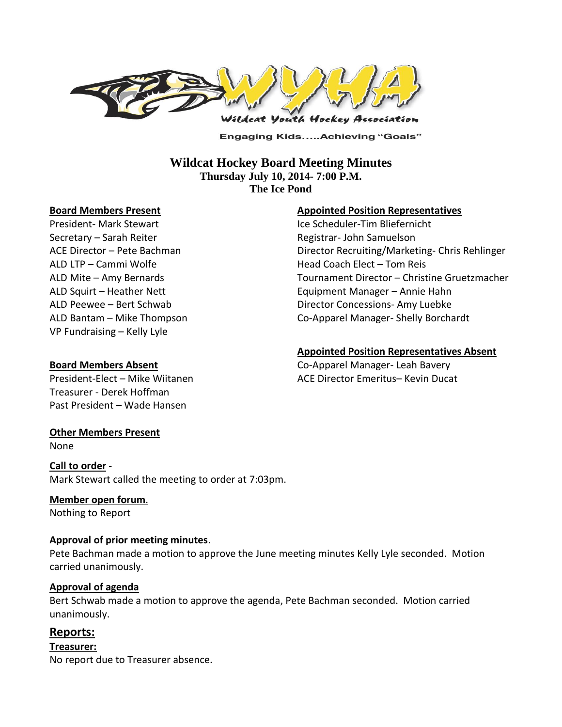

**Engaging Kids.....Achieving "Goals"** 

### **Wildcat Hockey Board Meeting Minutes Thursday July 10, 2014- 7:00 P.M. The Ice Pond**

#### **Board Members Present**

President- Mark Stewart Secretary – Sarah Reiter ACE Director – Pete Bachman ALD LTP – Cammi Wolfe ALD Mite – Amy Bernards ALD Squirt – Heather Nett ALD Peewee – Bert Schwab ALD Bantam – Mike Thompson VP Fundraising – Kelly Lyle

#### **Appointed Position Representatives**

Ice Scheduler-Tim Bliefernicht Registrar- John Samuelson Director Recruiting/Marketing- Chris Rehlinger Head Coach Elect – Tom Reis Tournament Director – Christine Gruetzmacher Equipment Manager – Annie Hahn Director Concessions- Amy Luebke Co-Apparel Manager- Shelly Borchardt

#### **Appointed Position Representatives Absent**

Co-Apparel Manager- Leah Bavery ACE Director Emeritus– Kevin Ducat

#### **Board Members Absent**

President-Elect – Mike Wiitanen Treasurer - Derek Hoffman Past President – Wade Hansen

### **Other Members Present**

None

**Call to order** - Mark Stewart called the meeting to order at 7:03pm.

### **Member open forum**.

Nothing to Report

#### **Approval of prior meeting minutes**.

Pete Bachman made a motion to approve the June meeting minutes Kelly Lyle seconded. Motion carried unanimously.

#### **Approval of agenda**

Bert Schwab made a motion to approve the agenda, Pete Bachman seconded. Motion carried unanimously.

# **Reports:**

**Treasurer:**  No report due to Treasurer absence.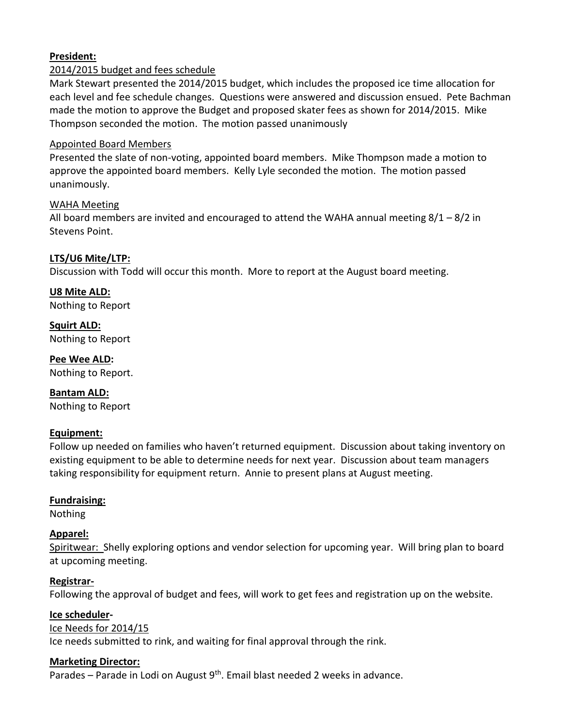# **President:**

### 2014/2015 budget and fees schedule

Mark Stewart presented the 2014/2015 budget, which includes the proposed ice time allocation for each level and fee schedule changes. Questions were answered and discussion ensued. Pete Bachman made the motion to approve the Budget and proposed skater fees as shown for 2014/2015. Mike Thompson seconded the motion. The motion passed unanimously

#### Appointed Board Members

Presented the slate of non-voting, appointed board members. Mike Thompson made a motion to approve the appointed board members. Kelly Lyle seconded the motion. The motion passed unanimously.

### WAHA Meeting

All board members are invited and encouraged to attend the WAHA annual meeting  $8/1 - 8/2$  in Stevens Point.

### **LTS/U6 Mite/LTP:**

Discussion with Todd will occur this month. More to report at the August board meeting.

**U8 Mite ALD:**  Nothing to Report

**Squirt ALD:**  Nothing to Report

**Pee Wee ALD:**  Nothing to Report.

**Bantam ALD:**  Nothing to Report

### **Equipment:**

Follow up needed on families who haven't returned equipment. Discussion about taking inventory on existing equipment to be able to determine needs for next year. Discussion about team managers taking responsibility for equipment return. Annie to present plans at August meeting.

### **Fundraising:**

Nothing

### **Apparel:**

Spiritwear: Shelly exploring options and vendor selection for upcoming year. Will bring plan to board at upcoming meeting.

### **Registrar-**

Following the approval of budget and fees, will work to get fees and registration up on the website.

#### **Ice scheduler-**

#### Ice Needs for 2014/15

Ice needs submitted to rink, and waiting for final approval through the rink.

#### **Marketing Director:**

Parades – Parade in Lodi on August  $9<sup>th</sup>$ . Email blast needed 2 weeks in advance.